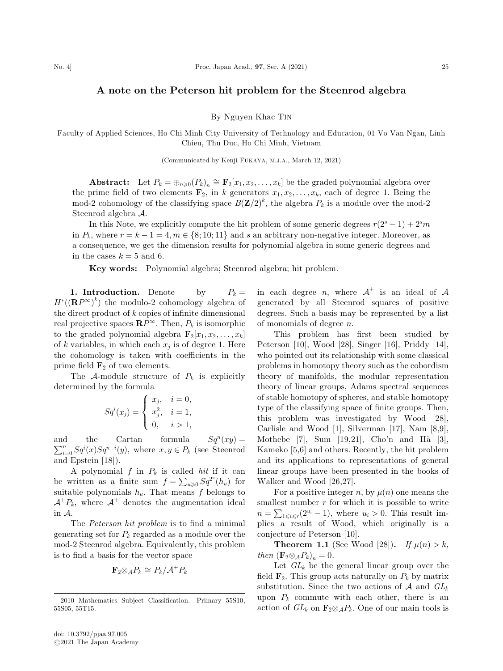## A note on the Peterson hit problem for the Steenrod algebra

By Nguyen Khac TIN

Faculty of Applied Sciences, Ho Chi Minh City University of Technology and Education, 01 Vo Van Ngan, Linh Chieu, Thu Duc, Ho Chi Minh, Vietnam

(Communicated by Kenji FUKAYA, M.J.A., March 12, 2021)

**Abstract:** Let  $P_k = \bigoplus_{n \geq 0} (P_k)_n \cong \mathbf{F}_2[x_1, x_2, \dots, x_k]$  be the graded polynomial algebra over the prime field of two elements  $\mathbf{F}_2$ , in k generators  $x_1, x_2, \ldots, x_k$ , each of degree 1. Being the mod-2 cohomology of the classifying space  $B(\mathbf{Z}/2)^k$ , the algebra  $P_k$  is a module over the mod-2 Steenrod algebra A.

In this Note, we explicitly compute the hit problem of some generic degrees  $r(2<sup>s</sup> - 1) + 2<sup>s</sup>m$ in  $P_k$ , where  $r = k - 1 = 4, m \in \{8; 10; 11\}$  and s an arbitrary non-negative integer. Moreover, as a consequence, we get the dimension results for polynomial algebra in some generic degrees and in the cases  $k = 5$  and 6.

Key words: Polynomial algebra; Steenrod algebra; hit problem.

1. Introduction. Denote by  $P_k =$  $H^*(({\bf R}P^\infty)^k)$  the modulo-2 cohomology algebra of the direct product of  $k$  copies of infinite dimensional real projective spaces  $\mathbb{R}P^{\infty}$ . Then,  $P_k$  is isomorphic to the graded polynomial algebra  $\mathbf{F}_2[x_1, x_2, \ldots, x_k]$ of k variables, in which each  $x_i$  is of degree 1. Here the cohomology is taken with coefficients in the prime field  $\mathbf{F}_2$  of two elements.

The A-module structure of  $P_k$  is explicitly determined by the formula

$$
Sq^{i}(x_{j}) = \begin{cases} x_{j}, & i = 0, \\ x_{j}^{2}, & i = 1, \\ 0, & i > 1, \end{cases}
$$

and the Cartan formula  $Sq^n(xy) =$ and the Cartan formula  $Sq^n(xy) = \sum_{i=0}^n Sq^i(x)Sq^{n-i}(y)$ , where  $x, y \in P_k$  (see Steenrod and Epstein [18]).

A polynomial  $f$  in  $P_k$  is called hit if it can be written as a finite sum  $f = \sum_{u\geq 0} Sq^{2^u}(h_u)$  for suitable polynomials  $h_u$ . That means f belongs to  $\mathcal{A}^+P_k$ , where  $\mathcal{A}^+$  denotes the augmentation ideal in A.

The Peterson hit problem is to find a minimal generating set for  $P_k$  regarded as a module over the mod-2 Steenrod algebra. Equivalently, this problem is to find a basis for the vector space

$$
\mathbf{F}_2 \otimes_{\mathcal{A}} P_k \cong P_k / \mathcal{A}^+ P_k
$$

in each degree *n*, where  $A^+$  is an ideal of A generated by all Steenrod squares of positive degrees. Such a basis may be represented by a list of monomials of degree  $n$ .

This problem has first been studied by Peterson [10], Wood [28], Singer [16], Priddy [14], who pointed out its relationship with some classical problems in homotopy theory such as the cobordism theory of manifolds, the modular representation theory of linear groups, Adams spectral sequences of stable homotopy of spheres, and stable homotopy type of the classifying space of finite groups. Then, this problem was investigated by Wood [28], Carlisle and Wood [1], Silverman [17], Nam [8,9], Mothebe [7], Sum [19,21], Cho'n and Hà [3], Kameko [5,6] and others. Recently, the hit problem and its applications to representations of general linear groups have been presented in the books of Walker and Wood [26,27].

For a positive integer n, by  $\mu(n)$  one means the smallest number  $r$  for which it is possible to write  $n = \sum_{1 \leq i \leq r} (2^{u_i} - 1)$ , where  $u_i > 0$ . This result implies a result of Wood, which originally is a conjecture of Peterson [10].

**Theorem 1.1** (See Wood [28]). If  $\mu(n) > k$ , then  $(\mathbf{F}_2 \otimes_A P_k)_n = 0.$ 

Let  $GL_k$  be the general linear group over the field  $\mathbf{F}_2$ . This group acts naturally on  $P_k$  by matrix substitution. Since the two actions of A and  $GL_k$ upon  $P_k$  commute with each other, there is an action of  $GL_k$  on  $\mathbf{F}_2 \otimes_A P_k$ . One of our main tools is

<sup>2010</sup> Mathematics Subject Classification. Primary 55S10, 55S05, 55T15.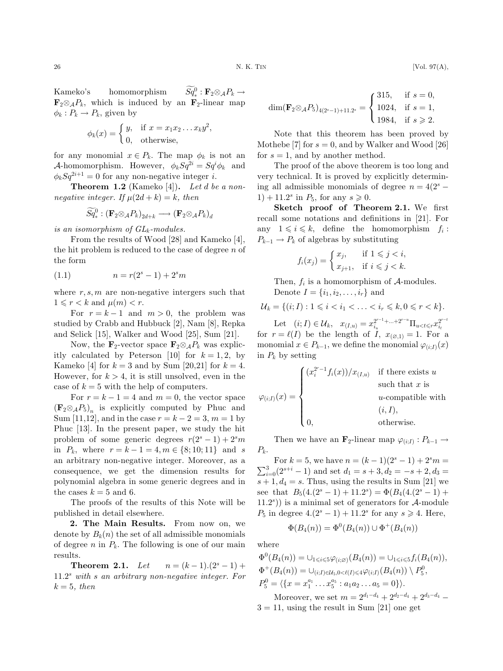Kameko's homomorphism  $Sq^0_* : \mathbf{F}_2 \otimes_A P_k \to$  $\mathbf{F}_2 \otimes_A P_k$ , which is induced by an  $\mathbf{F}_2$ -linear map  $\phi_k : P_k \to P_k$ , given by

$$
\phi_k(x) = \begin{cases} y, & \text{if } x = x_1 x_2 \dots x_k y^2, \\ 0, & \text{otherwise,} \end{cases}
$$

for any monomial  $x \in P_k$ . The map  $\phi_k$  is not an A-homomorphism. However,  $\phi_k Sq^{2i} = Sq^i \phi_k$  and  $\phi_k Sq^{2i+1} = 0$  for any non-negative integer i.

**Theorem 1.2** (Kameko [4]). Let d be a nonnegative integer. If  $\mu(2d + k) = k$ , then

$$
\widetilde{Sq}^0_*: (\mathbf{F}_2 {\otimes}_{\mathcal{A}} P_k)_{2d+k} \longrightarrow (\mathbf{F}_2 {\otimes}_{\mathcal{A}} P_k)_d
$$

is an isomorphism of  $GL_k$ -modules.

From the results of Wood [28] and Kameko [4], the hit problem is reduced to the case of degree  $n$  of the form

(1.1) 
$$
n = r(2^s - 1) + 2^s m
$$

where  $r, s, m$  are non-negative intergers such that  $1 \leqslant r < k$  and  $\mu(m) < r$ .

For  $r = k - 1$  and  $m > 0$ , the problem was studied by Crabb and Hubbuck [2], Nam [8], Repka and Selick [15], Walker and Wood [25], Sum [21].

Now, the  $\mathbf{F}_2$ -vector space  $\mathbf{F}_2 \otimes_A P_k$  was explicitly calculated by Peterson [10] for  $k = 1, 2$ , by Kameko [4] for  $k = 3$  and by Sum [20,21] for  $k = 4$ . However, for  $k > 4$ , it is still unsolved, even in the case of  $k = 5$  with the help of computers.

For  $r = k - 1 = 4$  and  $m = 0$ , the vector space  $(\mathbf{F}_2 \otimes_A P_5)_n$  is explicitly computed by Phuc and Sum [11,12], and in the case  $r = k - 2 = 3, m = 1$  by Phuc [13]. In the present paper, we study the hit problem of some generic degrees  $r(2<sup>s</sup> - 1) + 2<sup>s</sup>m$ in  $P_k$ , where  $r = k - 1 = 4, m \in \{8; 10; 11\}$  and s an arbitrary non-negative integer. Moreover, as a consequence, we get the dimension results for polynomial algebra in some generic degrees and in the cases  $k = 5$  and 6.

The proofs of the results of this Note will be published in detail elsewhere.

2. The Main Results. From now on, we denote by  $B_k(n)$  the set of all admissible monomials of degree  $n$  in  $P_k$ . The following is one of our main results.

**Theorem 2.1.** Let  $n = (k-1)(2^{s}-1)+$  $11.2<sup>s</sup>$  with s an arbitrary non-negative integer. For  $k = 5$ , then

$$
\dim(\mathbf{F}_2 \otimes_{\mathcal{A}} P_5)_{4(2^s-1)+11.2^s} = \begin{cases} 315, & \text{if } s = 0, \\ 1024, & \text{if } s = 1, \\ 1984, & \text{if } s \geqslant 2. \end{cases}
$$

Note that this theorem has been proved by Mothebe [7] for  $s = 0$ , and by Walker and Wood [26] for  $s = 1$ , and by another method.

The proof of the above theorem is too long and very technical. It is proved by explicitly determining all admissible monomials of degree  $n = 4(2<sup>s</sup> 1) + 11.2^{s}$  in  $P_5$ , for any  $s \ge 0$ .

Sketch proof of Theorem 2.1. We first recall some notations and definitions in [21]. For any  $1 \leq i \leq k$ , define the homomorphism  $f_i$ :  $P_{k-1} \to P_k$  of algebras by substituting

$$
f_i(x_j) = \begin{cases} x_j, & \text{if } 1 \leq j < i, \\ x_{j+1}, & \text{if } i \leq j < k. \end{cases}
$$

Then,  $f_i$  is a homomorphism of  $\mathcal{A}$ -modules. Denote  $I = \{i_1, i_2, \ldots, i_r\}$  and

$$
\mathcal{U}_k = \{(i; I) : 1 \leq i < i_1 < \ldots < i_r \leq k, 0 \leq r < k\}.
$$

Let  $(i; I) \in \mathcal{U}_k$ ,  $x_{(I,u)} = x_{i_u}^{2^{r-1}+\cdots+2^{r-u}} \Pi_{u \le t \le T} x_{i_t}^{2^{r-t}}$ <br>for  $r = \ell(I)$  be the length of I,  $x_{(\emptyset,1)} = 1$ . For a monomial  $x \in P_{k-1}$ , we define the monomial  $\varphi_{(i;I)}(x)$ in  $P_k$  by setting

$$
\varphi_{(i;I)}(x) = \begin{cases}\n(x_i^{2^r-1} f_i(x))/x_{(I,u)} & \text{if there exists } u \\
\text{such that } x \text{ is} \\
u\text{-compatible with} \\
(i, I), \\
0, \text{otherwise.} \n\end{cases}
$$

Then we have an  $\mathbf{F}_2$ -linear map  $\varphi_{(i:I)} : P_{k-1} \to$  $P_k$ .

For  $k = 5$ , we have  $n = (k-1)(2^{s}-1) + 2^{s}m =$ <br> $\sum_{i=1}^{3} {2^{s+i}} (2^{s+i}-1)$  and set  $d = 3+2$ ,  $d = 3+2$ ,  $d = 3$  $\sum_{i=0}^{3} (2^{s+i} - 1)$  and set  $d_1 = s+3, d_2 = -s+2, d_3 =$  $s + 1, d_4 = s$ . Thus, using the results in Sum [21] we see that  $B_5(4.(2^s-1)+11.2^s)=\Phi(B_4(4.(2^s-1)+$  $(11.2<sup>s</sup>)$ ) is a minimal set of generators for A-module  $P_5$  in degree  $4.(2<sup>s</sup> - 1) + 11.2<sup>s</sup>$  for any  $s \ge 4$ . Here,

$$
\Phi(B_4(n)) = \Phi^0(B_4(n)) \cup \Phi^+(B_4(n))
$$

where

 $\Phi^0(B_4(n)) = \bigcup_{1 \leq i \leq 5} \varphi_{(i;\varnothing)}(B_4(n)) = \bigcup_{1 \leq i \leq 5} f_i(B_4(n)),$  $\Phi^+(B_4(n)) = \bigcup_{(i;I) \in \mathcal{U}_5, 0 < \ell(I) \leq 4\varphi_{(i;I)}(B_4(n)) \setminus P_5^0,$  $P_5^0 = \langle \{x = x_1^{a_1} \ldots x_5^{a_5} : a_1 a_2 \ldots a_5 = 0 \} \rangle.$ Moreover, we set  $m = 2^{d_1-d_4} + 2^{d_2-d_4} + 2^{d_3-d_4}$ 

 $3 = 11$ , using the result in Sum [21] one get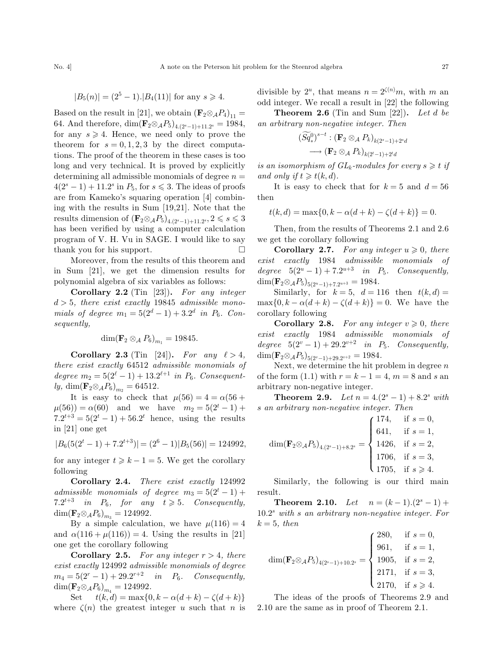$$
|B_5(n)| = (2^5 - 1).|B_4(11)|
$$
 for any  $s \ge 4$ .

Based on the result in [21], we obtain  $(\mathbf{F}_2 \otimes_A P_4)_{11} =$ 64. And therefore,  $\dim(\mathbf{F}_2 \otimes_A P_5)_{4,(2s-1)+11,2s} = 1984,$ for any  $s \geq 4$ . Hence, we need only to prove the theorem for  $s = 0, 1, 2, 3$  by the direct computations. The proof of the theorem in these cases is too long and very technical. It is proved by explicitly determining all admissible monomials of degree  $n =$  $4(2<sup>s</sup> - 1) + 11.2<sup>s</sup>$  in  $P_5$ , for  $s \le 3$ . The ideas of proofs are from Kameko's squaring operation [4] combining with the results in Sum [19,21]. Note that the results dimension of  $(\mathbf{F}_2 \otimes_A P_5)_{4,(2^s-1)+11,2^s}$ ,  $2 \leq s \leq 3$ has been verified by using a computer calculation program of V. H. Vu in SAGE. I would like to say thank you for his support.  $\Box$ 

Moreover, from the results of this theorem and in Sum [21], we get the dimension results for polynomial algebra of six variables as follows:

Corollary 2.2 (Tin [23]). For any integer  $d > 5$ , there exist exactly 19845 admissible monomials of degree  $m_1 = 5(2^d - 1) + 3 \cdot 2^d$  in  $P_6$ . Consequently,

$$
\dim(\mathbf{F}_2 \otimes_{\mathcal{A}} P_6)_{m_1} = 19845.
$$

Corollary 2.3 (Tin [24]). For any  $\ell > 4$ , there exist exactly 64512 admissible monomials of degree  $m_2 = 5(2^{\ell}-1) + 13.2^{\ell+1}$  in  $P_6$ . Consequently, dim $(\mathbf{F}_2 \otimes_A P_6)_{m_2} = 64512$ .

It is easy to check that  $\mu(56) = 4 = \alpha(56 +$  $\mu(56)) = \alpha(60)$  and we have  $m_2 = 5(2^t - 1) +$  $7.2^{t+3} = 5(2^t - 1) + 56.2^t$  hence, using the results in [21] one get

$$
|B_6(5(2^t-1) + 7 \cdot 2^{t+3})| = (2^6 - 1)|B_5(56)| = 124992,
$$

for any integer  $t \geq k - 1 = 5$ . We get the corollary following

Corollary 2.4. There exist exactly 124992 admissible monomials of degree  $m_3 = 5(2^t - 1) +$ 7.2<sup>t+3</sup> in  $P_6$ , for any  $t \geq 5$ . Consequently,  $\dim(\mathbf{F}_2 \otimes_A P_6)_{m_3} = 124992.$ 

By a simple calculation, we have  $\mu(116) = 4$ and  $\alpha(116 + \mu(116)) = 4$ . Using the results in [21] one get the corollary following

**Corollary 2.5.** For any integer  $r > 4$ , there exist exactly 124992 admissible monomials of degree  $m_4 = 5(2^r - 1) + 29 \cdot 2^{r+2}$  in  $P_6$ . Consequently,  $\dim(\mathbf{F}_2 \otimes_A P_6)_{m_4} = 124992.$ 

Set  $t(k, d) = \max\{0, k - \alpha(d + k) - \zeta(d + k)\}\$ where  $\zeta(n)$  the greatest integer u such that n is

divisible by  $2^u$ , that means  $n = 2^{\zeta(n)}m$ , with m and odd integer. We recall a result in [22] the following

**Theorem 2.6** (Tin and Sum [22]). Let d be an arbitrary non-negative integer. Then

$$
(\widetilde{Sq}^0_*)^{s-t} : (\mathbf{F}_2 \otimes_{\mathcal{A}} P_k)_{k(2^s-1)+2^s d}
$$

$$
\longrightarrow (\mathbf{F}_2 \otimes_{\mathcal{A}} P_k)_{k(2^t-1)+2^t d}
$$

is an isomorphism of  $GL_k$ -modules for every  $s \geq t$  if and only if  $t \geq t(k,d)$ .

It is easy to check that for  $k = 5$  and  $d = 56$ then

$$
t(k, d) = \max\{0, k - \alpha(d + k) - \zeta(d + k)\} = 0.
$$

Then, from the results of Theorems 2.1 and 2.6 we get the corollary following

**Corollary 2.7.** For any integer  $u \ge 0$ , there exist exactly 1984 admissible monomials of degree  $5(2^u-1)+7.2^{u+3}$  in  $P_5$ . Consequently,  $\dim(\mathbf{F}_2 \otimes_A P_5)_{5(2^u-1)+7.2^{u+3}} = 1984.$ 

Similarly, for  $k = 5$ ,  $d = 116$  then  $t(k, d) =$  $\max\{0, k - \alpha(d+k) - \zeta(d+k)\} = 0$ . We have the corollary following

**Corollary 2.8.** For any integer  $v \ge 0$ , there exist exactly 1984 admissible monomials of degree  $5(2^v-1)+29.2^{v+2}$  in P<sub>5</sub>. Consequently,  $\dim(\mathbf{F}_2 \otimes_A P_5)_{5(2^v-1)+29.2^{v+2}} = 1984.$ 

Next, we determine the hit problem in degree  $n$ of the form  $(1.1)$  with  $r = k - 1 = 4$ ,  $m = 8$  and s and arbitrary non-negative integer.

**Theorem 2.9.** Let  $n = 4.(2<sup>s</sup> - 1) + 8.2<sup>s</sup>$  with s an arbitrary non-negative integer. Then

$$
\dim(\mathbf{F}_2 \otimes_A P_5)_{4.(2^s-1)+8.2^s} = \begin{cases} 174, & \text{if } s = 0, \\ 641, & \text{if } s = 1, \\ 1426, & \text{if } s = 2, \\ 1706, & \text{if } s = 3, \\ 1705, & \text{if } s \ge 4. \end{cases}
$$

Similarly, the following is our third main result.

**Theorem 2.10.** Let  $n = (k-1)(2<sup>s</sup> - 1) +$  $10.2<sup>s</sup>$  with s an arbitrary non-negative integer. For  $k = 5$ , then

$$
\dim(\mathbf{F}_2 \otimes_A P_5)_{4(2^s-1)+10.2^s} = \begin{cases} 280, & \text{if } s = 0, \\ 961, & \text{if } s = 1, \\ 1905, & \text{if } s = 2, \\ 2171, & \text{if } s = 3, \\ 2170, & \text{if } s \ge 4. \end{cases}
$$

The ideas of the proofs of Theorems 2.9 and 2.10 are the same as in proof of Theorem 2.1.